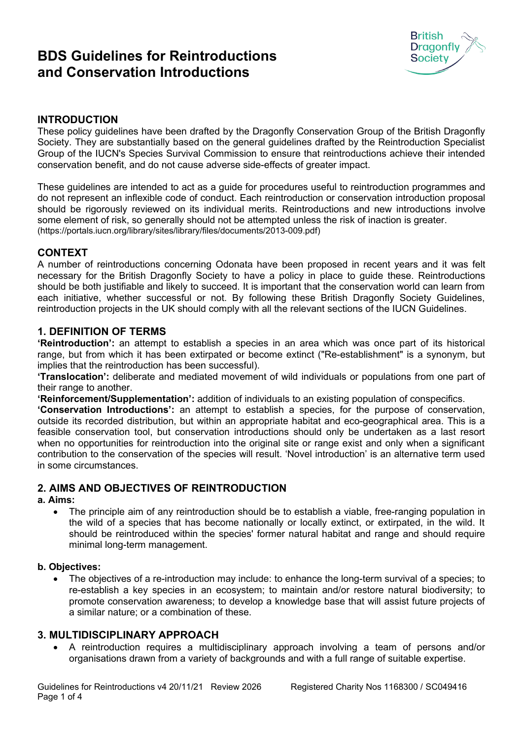# **BDS Guidelines for Reintroductions and Conservation Introductions**



## **INTRODUCTION**

These policy guidelines have been drafted by the Dragonfly Conservation Group of the British Dragonfly Society. They are substantially based on the general guidelines drafted by the Reintroduction Specialist Group of the IUCN's Species Survival Commission to ensure that reintroductions achieve their intended conservation benefit, and do not cause adverse side-effects of greater impact.

These guidelines are intended to act as a guide for procedures useful to reintroduction programmes and do not represent an inflexible code of conduct. Each reintroduction or conservation introduction proposal should be rigorously reviewed on its individual merits. Reintroductions and new introductions involve some element of risk, so generally should not be attempted unless the risk of inaction is greater. (https://portals.iucn.org/library/sites/library/files/documents/2013-009.pdf)

## **CONTEXT**

A number of reintroductions concerning Odonata have been proposed in recent years and it was felt necessary for the British Dragonfly Society to have a policy in place to guide these. Reintroductions should be both justifiable and likely to succeed. It is important that the conservation world can learn from each initiative, whether successful or not. By following these British Dragonfly Society Guidelines, reintroduction projects in the UK should comply with all the relevant sections of the IUCN Guidelines.

# **1. DEFINITION OF TERMS**

**'Reintroduction':** an attempt to establish a species in an area which was once part of its historical range, but from which it has been extirpated or become extinct ("Re-establishment" is a synonym, but implies that the reintroduction has been successful).

**'Translocation':** deliberate and mediated movement of wild individuals or populations from one part of their range to another.

**'Reinforcement/Supplementation':** addition of individuals to an existing population of conspecifics.

**'Conservation Introductions':** an attempt to establish a species, for the purpose of conservation, outside its recorded distribution, but within an appropriate habitat and eco-geographical area. This is a feasible conservation tool, but conservation introductions should only be undertaken as a last resort when no opportunities for reintroduction into the original site or range exist and only when a significant contribution to the conservation of the species will result. 'Novel introduction' is an alternative term used in some circumstances.

# **2. AIMS AND OBJECTIVES OF REINTRODUCTION**

#### **a. Aims:**

 The principle aim of any reintroduction should be to establish a viable, free-ranging population in the wild of a species that has become nationally or locally extinct, or extirpated, in the wild. It should be reintroduced within the species' former natural habitat and range and should require minimal long-term management.

#### **b. Objectives:**

 The objectives of a re-introduction may include: to enhance the long-term survival of a species; to re-establish a key species in an ecosystem; to maintain and/or restore natural biodiversity; to promote conservation awareness; to develop a knowledge base that will assist future projects of a similar nature; or a combination of these.

#### **3. MULTIDISCIPLINARY APPROACH**

 A reintroduction requires a multidisciplinary approach involving a team of persons and/or organisations drawn from a variety of backgrounds and with a full range of suitable expertise.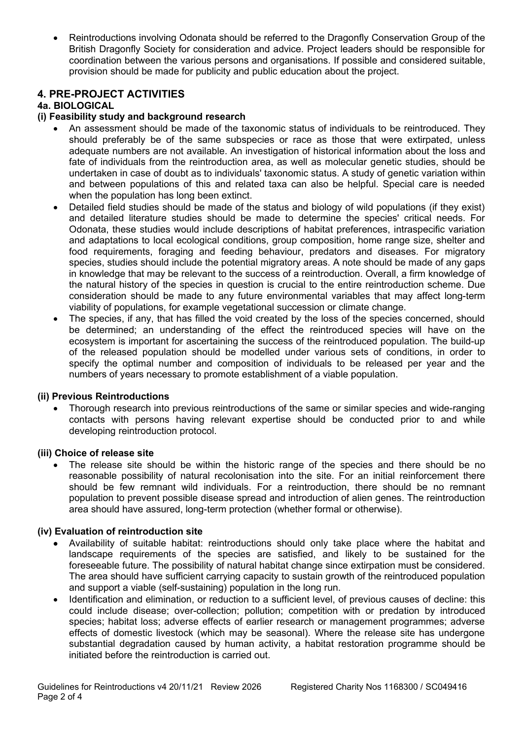Reintroductions involving Odonata should be referred to the Dragonfly Conservation Group of the British Dragonfly Society for consideration and advice. Project leaders should be responsible for coordination between the various persons and organisations. If possible and considered suitable, provision should be made for publicity and public education about the project.

# **4. PRE-PROJECT ACTIVITIES**

## **4a. BIOLOGICAL**

## **(i) Feasibility study and background research**

- An assessment should be made of the taxonomic status of individuals to be reintroduced. They should preferably be of the same subspecies or race as those that were extirpated, unless adequate numbers are not available. An investigation of historical information about the loss and fate of individuals from the reintroduction area, as well as molecular genetic studies, should be undertaken in case of doubt as to individuals' taxonomic status. A study of genetic variation within and between populations of this and related taxa can also be helpful. Special care is needed when the population has long been extinct.
- Detailed field studies should be made of the status and biology of wild populations (if they exist) and detailed literature studies should be made to determine the species' critical needs. For Odonata, these studies would include descriptions of habitat preferences, intraspecific variation and adaptations to local ecological conditions, group composition, home range size, shelter and food requirements, foraging and feeding behaviour, predators and diseases. For migratory species, studies should include the potential migratory areas. A note should be made of any gaps in knowledge that may be relevant to the success of a reintroduction. Overall, a firm knowledge of the natural history of the species in question is crucial to the entire reintroduction scheme. Due consideration should be made to any future environmental variables that may affect long-term viability of populations, for example vegetational succession or climate change.
- The species, if any, that has filled the void created by the loss of the species concerned, should be determined; an understanding of the effect the reintroduced species will have on the ecosystem is important for ascertaining the success of the reintroduced population. The build-up of the released population should be modelled under various sets of conditions, in order to specify the optimal number and composition of individuals to be released per year and the numbers of years necessary to promote establishment of a viable population.

#### **(ii) Previous Reintroductions**

 Thorough research into previous reintroductions of the same or similar species and wide-ranging contacts with persons having relevant expertise should be conducted prior to and while developing reintroduction protocol.

#### **(iii) Choice of release site**

 The release site should be within the historic range of the species and there should be no reasonable possibility of natural recolonisation into the site. For an initial reinforcement there should be few remnant wild individuals. For a reintroduction, there should be no remnant population to prevent possible disease spread and introduction of alien genes. The reintroduction area should have assured, long-term protection (whether formal or otherwise).

#### **(iv) Evaluation of reintroduction site**

- Availability of suitable habitat: reintroductions should only take place where the habitat and landscape requirements of the species are satisfied, and likely to be sustained for the foreseeable future. The possibility of natural habitat change since extirpation must be considered. The area should have sufficient carrying capacity to sustain growth of the reintroduced population and support a viable (self-sustaining) population in the long run.
- Identification and elimination, or reduction to a sufficient level, of previous causes of decline: this could include disease; over-collection; pollution; competition with or predation by introduced species; habitat loss; adverse effects of earlier research or management programmes; adverse effects of domestic livestock (which may be seasonal). Where the release site has undergone substantial degradation caused by human activity, a habitat restoration programme should be initiated before the reintroduction is carried out.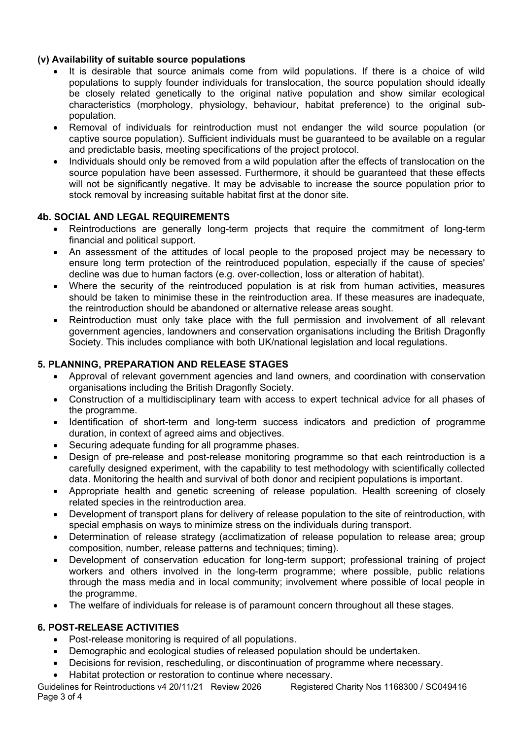# **(v) Availability of suitable source populations**

- It is desirable that source animals come from wild populations. If there is a choice of wild populations to supply founder individuals for translocation, the source population should ideally be closely related genetically to the original native population and show similar ecological characteristics (morphology, physiology, behaviour, habitat preference) to the original subpopulation.
- Removal of individuals for reintroduction must not endanger the wild source population (or captive source population). Sufficient individuals must be guaranteed to be available on a regular and predictable basis, meeting specifications of the project protocol.
- Individuals should only be removed from a wild population after the effects of translocation on the source population have been assessed. Furthermore, it should be guaranteed that these effects will not be significantly negative. It may be advisable to increase the source population prior to stock removal by increasing suitable habitat first at the donor site.

# **4b. SOCIAL AND LEGAL REQUIREMENTS**

- Reintroductions are generally long-term projects that require the commitment of long-term financial and political support.
- An assessment of the attitudes of local people to the proposed project may be necessary to ensure long term protection of the reintroduced population, especially if the cause of species' decline was due to human factors (e.g. over-collection, loss or alteration of habitat).
- Where the security of the reintroduced population is at risk from human activities, measures should be taken to minimise these in the reintroduction area. If these measures are inadequate, the reintroduction should be abandoned or alternative release areas sought.
- Reintroduction must only take place with the full permission and involvement of all relevant government agencies, landowners and conservation organisations including the British Dragonfly Society. This includes compliance with both UK/national legislation and local regulations.

# **5. PLANNING, PREPARATION AND RELEASE STAGES**

- Approval of relevant government agencies and land owners, and coordination with conservation organisations including the British Dragonfly Society.
- Construction of a multidisciplinary team with access to expert technical advice for all phases of the programme.
- Identification of short-term and long-term success indicators and prediction of programme duration, in context of agreed aims and objectives.
- Securing adequate funding for all programme phases.
- Design of pre-release and post-release monitoring programme so that each reintroduction is a carefully designed experiment, with the capability to test methodology with scientifically collected data. Monitoring the health and survival of both donor and recipient populations is important.
- Appropriate health and genetic screening of release population. Health screening of closely related species in the reintroduction area.
- Development of transport plans for delivery of release population to the site of reintroduction, with special emphasis on ways to minimize stress on the individuals during transport.
- Determination of release strategy (acclimatization of release population to release area; group composition, number, release patterns and techniques; timing).
- Development of conservation education for long-term support; professional training of project workers and others involved in the long-term programme; where possible, public relations through the mass media and in local community; involvement where possible of local people in the programme.
- The welfare of individuals for release is of paramount concern throughout all these stages.

# **6. POST-RELEASE ACTIVITIES**

- Post-release monitoring is required of all populations.
- Demographic and ecological studies of released population should be undertaken.
- Decisions for revision, rescheduling, or discontinuation of programme where necessary.
- Habitat protection or restoration to continue where necessary.

Guidelines for Reintroductions v4 20/11/21 Review 2026 Registered Charity Nos 1168300 / SC049416 Page 3 of 4